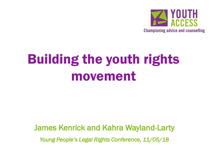

# Building the youth rights movement

James Kenrick and Kahra Wayland-Larty *Young People's Legal Rights Conference, 11/05/18*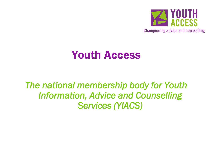

#### Youth Access

#### *The national membership body for Youth Information, Advice and Counselling Services (YIACS)*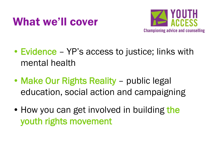### What we'll cover



- Evidence YP's access to justice; links with mental health
- Make Our Rights Reality public legal education, social action and campaigning
- How you can get involved in building the youth rights movement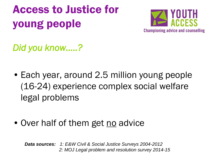Access to Justice for young people



*Did you know…..?* 

- Each year, around 2.5 million young people (16-24) experience complex social welfare legal problems
- Over half of them get no advice

*Data sources: 1: E&W Civil & Social Justice Surveys 2004-2012 2: MOJ Legal problem and resolution survey 2014-15*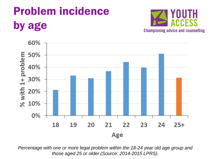# Problem incidence by age





*Percentage with one or more legal problem within the 18-24 year old age group and those aged 25 or older (Source: 2014-2015 LPRS).*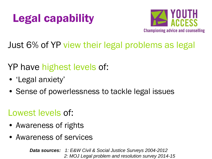#### Legal capability



Just 6% of YP view their legal problems as legal

YP have highest levels of:

- 'Legal anxiety'
- Sense of powerlessness to tackle legal issues

#### Lowest levels of:

- Awareness of rights
- Awareness of services

*Data sources: 1: E&W Civil & Social Justice Surveys 2004-2012 2: MOJ Legal problem and resolution survey 2014-15*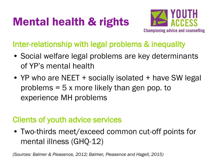# Mental health & rights



Inter-relationship with legal problems & inequality

- Social welfare legal problems are key determinants of YP's mental health
- YP who are NEET + socially isolated + have SW legal problems = 5 x more likely than gen pop. to experience MH problems

#### Clients of youth advice services

• Two-thirds meet/exceed common cut-off points for mental illness (GHQ-12)

*(Sources: Balmer & Pleasence, 2012; Balmer, Pleasence and Hagell, 2015)*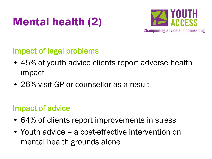## Mental health (2)



#### Impact of legal problems

- 45% of youth advice clients report adverse health impact
- 26% visit GP or counsellor as a result

#### Impact of advice

- 64% of clients report improvements in stress
- Youth advice = a cost-effective intervention on mental health grounds alone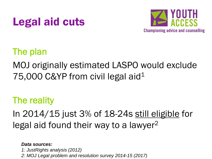## Legal aid cuts



#### The plan

MOJ originally estimated LASPO would exclude 75,000 C&YP from civil legal aid<sup>1</sup>

#### The reality

In 2014/15 just 3% of 18-24s still eligible for legal aid found their way to a lawyer<sup>2</sup>

#### *Data sources:*

*1: JustRights analysis (2012)*

*2: MOJ Legal problem and resolution survey 2014-15 (2017)*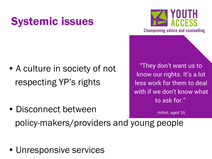## Systemic issues



• A culture in society of not respecting YP's rights

"They don't want us to know our rights. It's a lot less work for them to deal with if we don't know what to ask for."

• Disconnect between Arlind, aged 16 policy-makers/providers and young people

• Unresponsive services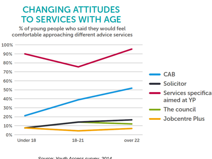#### **CHANGING ATTITUDES TO SERVICES WITH AGE** % of young people who said they would feel comfortable approaching different advice services 100%  $90%$ 80% 70% **CAB** 60% **Solicitor** 50% **Services specifica** 40% aimed at YP 30% The council 20% Jobcentre Plus 10% 0% **Under 18**  $18 - 21$ over 22

*Source: Youth Access survey, 2014*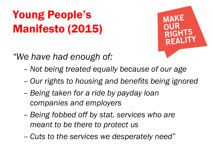# Young People's Manifesto (2015)



*"We have had enough of:*

- *Not being treated equally because of our age*
- *Our rights to housing and benefits being ignored*
- *Being taken for a ride by payday loan companies and employers*
- *Being fobbed off by stat. services who are meant to be there to protect us*
- *Cuts to the services we desperately need"*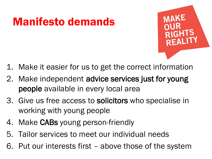## Manifesto demands

- 
- 1. Make it easier for us to get the correct information
- 2. Make independent advice services just for young people available in every local area
- 3. Give us free access to solicitors who specialise in working with young people
- 4. Make CABs young person-friendly
- 5. Tailor services to meet our individual needs
- 6. Put our interests first above those of the system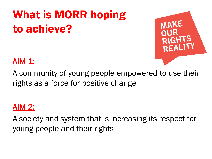# What is MORR hoping to achieve?



#### AIM 1:

A community of young people empowered to use their rights as a force for positive change

#### AIM 2:

A society and system that is increasing its respect for young people and their rights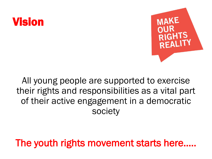#### Vision



All young people are supported to exercise their rights and responsibilities as a vital part of their active engagement in a democratic society

The youth rights movement starts here…..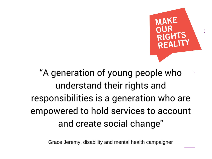

#### "A generation of young people who understand their rights and responsibilities is a generation who are empowered to hold services to account and create social change"

Grace Jeremy, disability and mental health campaigner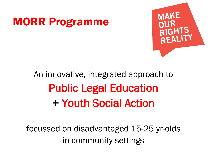



## An innovative, integrated approach to Public Legal Education + Youth Social Action

focussed on disadvantaged 15-25 yr-olds in community settings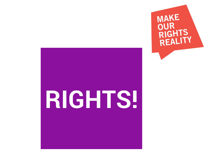# RIGHTS!

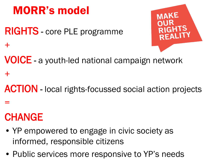## MORR's model

RIGHTS - core PLE programme



ACTION - local rights-focussed social action projects =

**MAKE** 

**GHTS** 

#### **CHANGE**

- YP empowered to engage in civic society as informed, responsible citizens
- Public services more responsive to YP's needs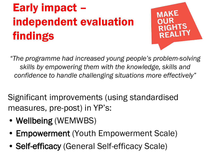# Early impact – independent evaluation findings

**IGHTS** 

*"The programme had increased young people's problem-solving skills by empowering them with the knowledge, skills and confidence to handle challenging situations more effectively"*

Significant improvements (using standardised measures, pre-post) in YP's:

- Wellbeing (WEMWBS)
- Empowerment (Youth Empowerment Scale)
- Self-efficacy (General Self-efficacy Scale)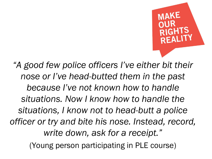

*"A good few police officers I've either bit their nose or I've head-butted them in the past because I've not known how to handle situations. Now I know how to handle the situations, I know not to head-butt a police officer or try and bite his nose. Instead, record, write down, ask for a receipt."*  (Young person participating in PLE course)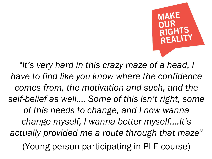

*"It's very hard in this crazy maze of a head, I have to find like you know where the confidence comes from, the motivation and such, and the self-belief as well…. Some of this isn't right, some of this needs to change, and I now wanna change myself, I wanna better myself….It's actually provided me a route through that maze"* (Young person participating in PLE course)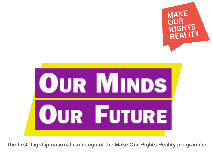



**The first flagship national campaign of the Make Our Rights Reality programme**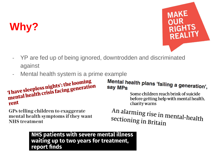# **Why?**



- YP are fed up of being ignored, downtrodden and discriminated against
- Mental health system is a prime example

I have sleepless nights': the looming<br>I have sleepless nights': the looming Thave sleepless nights': the looning rent

GPs telling children to exaggerate mental health symptoms if they want **NHS** treatment

Mental health plans 'failing a generation',<br>say MPs

Some children reach brink of suicide before getting help with mental health, charity warns

An alarming rise in mental-health<br>sectioning in Britain sectioning in Britain

NHS patients with severe mental illness waiting up to two years for treatment, report finds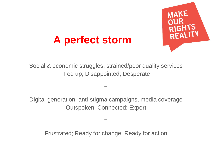

#### **A perfect storm**

Social & economic struggles, strained/poor quality services Fed up; Disappointed; Desperate

+

Digital generation, anti-stigma campaigns, media coverage Outspoken; Connected; Expert

Frustrated; Ready for change; Ready for action

=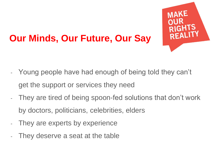#### **Our Minds, Our Future, Our Say**

- Young people have had enough of being told they can't get the support or services they need

**GHTS** 

- They are tired of being spoon-fed solutions that don't work by doctors, politicians, celebrities, elders
- They are experts by experience
- They deserve a seat at the table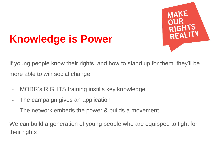

#### **Knowledge is Power**

If young people know their rights, and how to stand up for them, they'll be more able to win social change

- MORR's RIGHTS training instills key knowledge
- The campaign gives an application
- The network embeds the power & builds a movement

We can build a generation of young people who are equipped to fight for their rights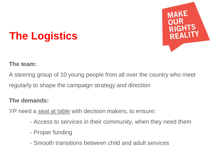

## **The Logistics**

#### **The team:**

A steering group of 10 young people from all over the country who meet regularly to shape the campaign strategy and direction

#### **The demands:**

YP need a seat at table with decision makers, to ensure:

- Access to services in their community, when they need them
- Proper funding
- Smooth transitions between child and adult services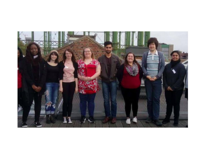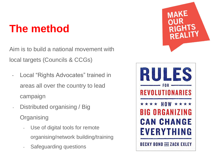## **The method**

Aim is to build a national movement with local targets (Councils & CCGs)

- Local "Rights Advocates" trained in areas all over the country to lead campaign
- Distributed organising / Big **Organising** 
	- Use of digital tools for remote organising/network building/training
	- Safeguarding questions



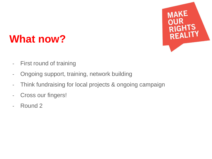

#### **What now?**

- First round of training
- Ongoing support, training, network building
- Think fundraising for local projects & ongoing campaign
- Cross our fingers!
- Round 2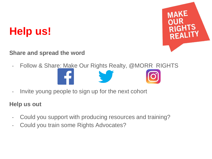

#### **Help us!**

#### **Share and spread the word**

- Follow & Share: Make Our Rights Realty, @MORR\_RIGHTS

- Invite young people to sign up for the next cohort

#### **Help us out**

- Could you support with producing resources and training?
- Could you train some Rights Advocates?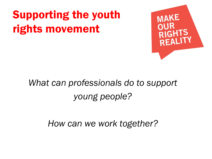# Supporting the youth rights movement



**MAKE** 

RIGHTS

*How can we work together?*